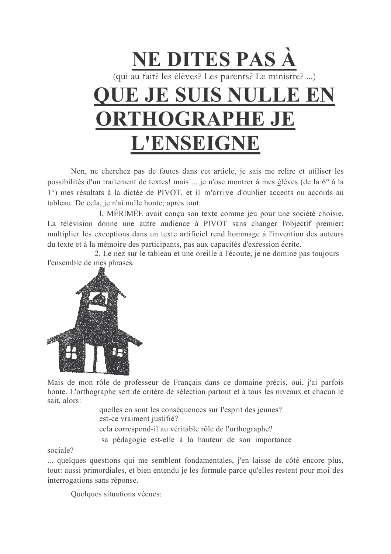

Non, ne cherchez pas de fautes dans cet article, je sais me relire et utiliser les possibilités d'un traitement de textes! mais ... je n'ose montrer à mes élèves (de la 6° à la 1°) mes résultats à la dictée de PIVOT, et il m'arrive d'oublier accents ou accords au tableau. De cela, je n'ai nulle honte; après tout:

1. MÉRIMÉE avait conçu son texte comme jeu pour une société choisie. La télévision donne une autre audience à PIVOT sans changer l'objectif premier: multiplier les exceptions dans un texte artificiel rend hommage à l'invention des auteurs du texte et à la mémoire des participants, pas aux capacités d'exression écrite.

2. Le nez sur le tableau et une oreille à l'écoute, je ne domine pas toujours l'ensemble de mes phrases.



Mais de mon rôle de professeur de Français dans ce domaine précis, oui, i'ai parfois honte. L'orthographe sert de critère de sélection partout et à tous les niveaux et chacun le sait alors:

quelles en sont les conséquences sur l'esprit des jeunes? est-ce vraiment justifié? cela correspond-il au véritable rôle de l'orthographe? sa pédagogie est-elle à la hauteur de son importance

sociale?

... quelques questions qui me semblent fondamentales, j'en laisse de côté encore plus, tout: aussi primordiales, et bien entendu je les formule parce qu'elles restent pour moi des interrogations sans réponse.

Ouelques situations vécues: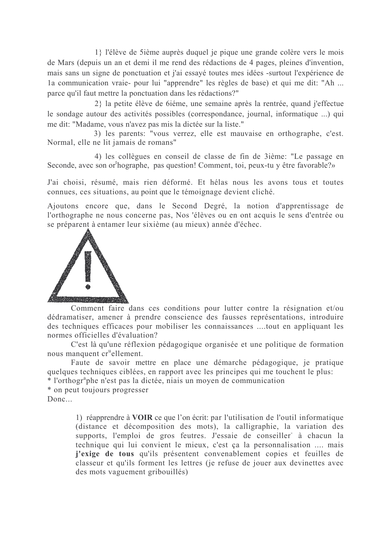1} l'élève de 5 ième auprès duquel je pique une grande colère vers le mois de Mars (depuis un an et demi il me rend des rédactions de 4 pages, pleines d'invention, mais sans un signe de ponctuation et j'ai essayé toutes mes idées -surtout l'expérience de la communication vraie- pour lui "apprendre" les règles de base) et qui me dit: "Ah ... parce qu'il faut mettre la ponctuation dans les rédactions?"

2} la petite élève de 6iéme, une semaine après la rentrée, quand j'effectue le sondage autour des activités possibles (correspondance, journal, informatique ...) qui me dit: "Madame, vous n'avez pas mis la dictée sur la liste."

3) les parents: "vous verrez, elle est mauvaise en orthographe, c'est. Normal, elle ne lit jamais de romans"

4) les collègues en conseil de classe de fin de 3ième: "Le passage en Seconde, avec son or hographe, pas question! Comment, toi, peux-tu y être favorable?»

J'ai choisi, résumé, mais rien déformé. Et hélas nous les avons tous et toutes connues, ces situations, au point que le témoignage devient cliché.

Ajoutons encore que, dans le Second Degré, la notion d'apprentissage de l'orthographe ne nous concerne pas, Nos 'élèves ou en ont acquis le sens d'entrée ou se préparent à entamer leur sixième (au mieux) année d'échec.



Comment faire dans ces conditions pour lutter contre la résignation et/ou dédramatiser, amener à prendre conscience des fausses représentations, introduire des techniques efficaces pour mobiliser les connaissances ....tout en appliquant les normes officielles d'évaluation?

C'est là qu'une réflexion pédagogique organisée et une politique de formation nous manquent cr<sup>u</sup>ellement.

Faute de savoir mettre en place une démarche pédagogique, je pratique quelques techniques ciblées, en rapport avec les principes qui me touchent le plus:

\* l'orthogr<sup>a</sup>phe n'est pas la dictée, niais un moyen de communication

\* on peut toujours progresser

 $Done...$ 

1) réapprendre à VOIR ce que l'on écrit: par l'utilisation de l'outil informatique (distance et décomposition des mots), la calligraphie, la variation des supports. l'emploi de gros feutres. J'essaie de conseiller à chacun la technique qui lui convient le mieux, c'est ça la personnalisation .... mais j'exige de tous qu'ils présentent convenablement copies et feuilles de classeur et qu'ils forment les lettres (je refuse de jouer aux devinettes avec des mots vaguement gribouillés)